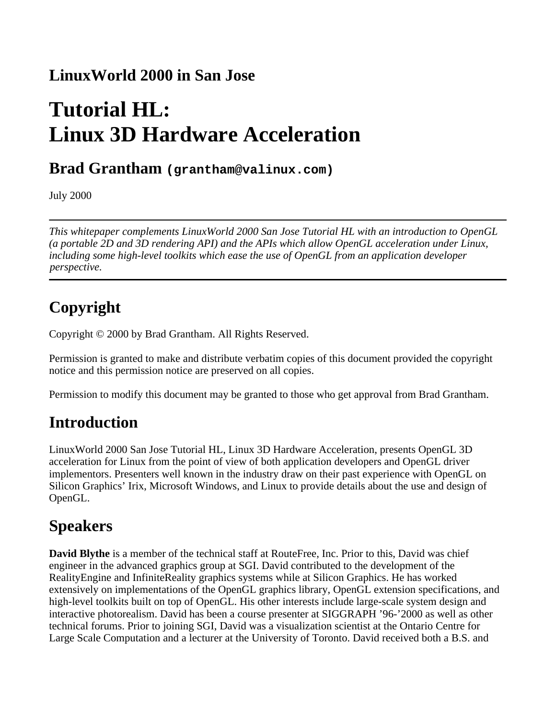#### **LinuxWorld 2000 in San Jose**

# **Tutorial HL: Linux 3D Hardware Acceleration**

#### **Brad Grantham (grantham@valinux.com)**

July 2000

*This whitepaper complements LinuxWorld 2000 San Jose Tutorial HL with an introduction to OpenGL (a portable 2D and 3D rendering API) and the APIs which allow OpenGL acceleration under Linux, including some high-level toolkits which ease the use of OpenGL from an application developer perspective.* 

## **Copyright**

Copyright © 2000 by Brad Grantham. All Rights Reserved.

Permission is granted to make and distribute verbatim copies of this document provided the copyright notice and this permission notice are preserved on all copies.

Permission to modify this document may be granted to those who get approval from Brad Grantham.

#### **Introduction**

LinuxWorld 2000 San Jose Tutorial HL, Linux 3D Hardware Acceleration, presents OpenGL 3D acceleration for Linux from the point of view of both application developers and OpenGL driver implementors. Presenters well known in the industry draw on their past experience with OpenGL on Silicon Graphics' Irix, Microsoft Windows, and Linux to provide details about the use and design of OpenGL.

#### **Speakers**

**David Blythe** is a member of the technical staff at RouteFree, Inc. Prior to this, David was chief engineer in the advanced graphics group at SGI. David contributed to the development of the RealityEngine and InfiniteReality graphics systems while at Silicon Graphics. He has worked extensively on implementations of the OpenGL graphics library, OpenGL extension specifications, and high-level toolkits built on top of OpenGL. His other interests include large-scale system design and interactive photorealism. David has been a course presenter at SIGGRAPH '96-'2000 as well as other technical forums. Prior to joining SGI, David was a visualization scientist at the Ontario Centre for Large Scale Computation and a lecturer at the University of Toronto. David received both a B.S. and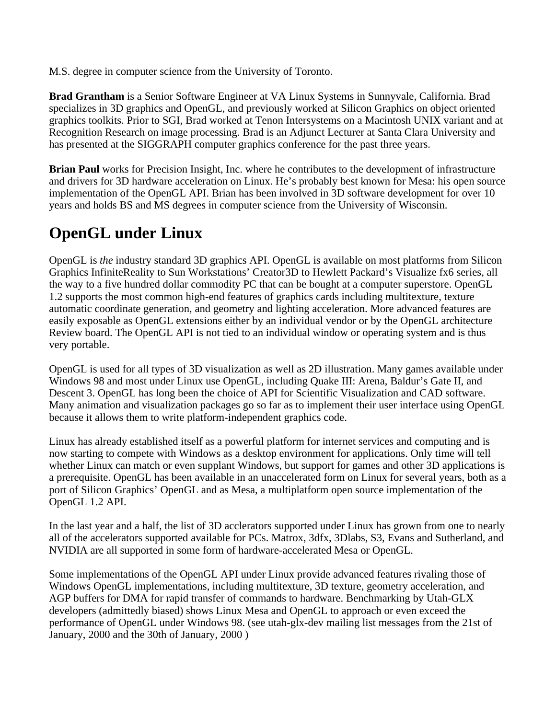M.S. degree in computer science from the University of Toronto.

**Brad Grantham** is a Senior Software Engineer at VA Linux Systems in Sunnyvale, California. Brad specializes in 3D graphics and OpenGL, and previously worked at Silicon Graphics on object oriented graphics toolkits. Prior to SGI, Brad worked at Tenon Intersystems on a Macintosh UNIX variant and at Recognition Research on image processing. Brad is an Adjunct Lecturer at Santa Clara University and has presented at the SIGGRAPH computer graphics conference for the past three years.

**Brian Paul** works for Precision Insight, Inc. where he contributes to the development of infrastructure and drivers for 3D hardware acceleration on Linux. He's probably best known for Mesa: his open source implementation of the OpenGL API. Brian has been involved in 3D software development for over 10 years and holds BS and MS degrees in computer science from the University of Wisconsin.

#### **OpenGL under Linux**

OpenGL is *the* industry standard 3D graphics API. OpenGL is available on most platforms from Silicon Graphics InfiniteReality to Sun Workstations' Creator3D to Hewlett Packard's Visualize fx6 series, all the way to a five hundred dollar commodity PC that can be bought at a computer superstore. OpenGL 1.2 supports the most common high-end features of graphics cards including multitexture, texture automatic coordinate generation, and geometry and lighting acceleration. More advanced features are easily exposable as OpenGL extensions either by an individual vendor or by the OpenGL architecture Review board. The OpenGL API is not tied to an individual window or operating system and is thus very portable.

OpenGL is used for all types of 3D visualization as well as 2D illustration. Many games available under Windows 98 and most under Linux use OpenGL, including Quake III: Arena, Baldur's Gate II, and Descent 3. OpenGL has long been the choice of API for Scientific Visualization and CAD software. Many animation and visualization packages go so far as to implement their user interface using OpenGL because it allows them to write platform-independent graphics code.

Linux has already established itself as a powerful platform for internet services and computing and is now starting to compete with Windows as a desktop environment for applications. Only time will tell whether Linux can match or even supplant Windows, but support for games and other 3D applications is a prerequisite. OpenGL has been available in an unaccelerated form on Linux for several years, both as a port of Silicon Graphics' OpenGL and as Mesa, a multiplatform open source implementation of the OpenGL 1.2 API.

In the last year and a half, the list of 3D acclerators supported under Linux has grown from one to nearly all of the accelerators supported available for PCs. Matrox, 3dfx, 3Dlabs, S3, Evans and Sutherland, and NVIDIA are all supported in some form of hardware-accelerated Mesa or OpenGL.

Some implementations of the OpenGL API under Linux provide advanced features rivaling those of Windows OpenGL implementations, including multitexture, 3D texture, geometry acceleration, and AGP buffers for DMA for rapid transfer of commands to hardware. Benchmarking by Utah-GLX developers (admittedly biased) shows Linux Mesa and OpenGL to approach or even exceed the performance of OpenGL under Windows 98. (see utah-glx-dev mailing list messages from the 21st of January, 2000 and the 30th of January, 2000 )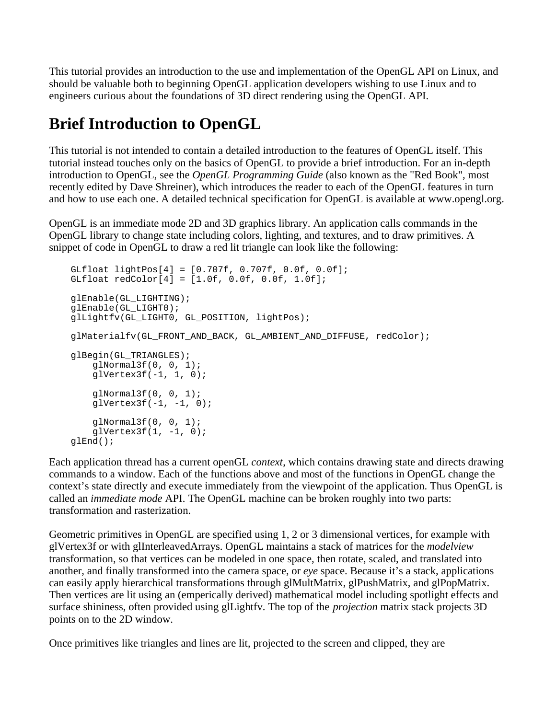This tutorial provides an introduction to the use and implementation of the OpenGL API on Linux, and should be valuable both to beginning OpenGL application developers wishing to use Linux and to engineers curious about the foundations of 3D direct rendering using the OpenGL API.

### **Brief Introduction to OpenGL**

This tutorial is not intended to contain a detailed introduction to the features of OpenGL itself. This tutorial instead touches only on the basics of OpenGL to provide a brief introduction. For an in-depth introduction to OpenGL, see the *OpenGL Programming Guide* (also known as the "Red Book", most recently edited by Dave Shreiner), which introduces the reader to each of the OpenGL features in turn and how to use each one. A detailed technical specification for OpenGL is available at www.opengl.org.

OpenGL is an immediate mode 2D and 3D graphics library. An application calls commands in the OpenGL library to change state including colors, lighting, and textures, and to draw primitives. A snippet of code in OpenGL to draw a red lit triangle can look like the following:

```
 GLfloat lightPos[4] = [0.707f, 0.707f, 0.0f, 0.0f];
 GLfloat redColor[4] = [1.0f, 0.0f, 0.0f, 1.0f];
 glEnable(GL_LIGHTING);
 glEnable(GL_LIGHT0);
 glLightfv(GL_LIGHT0, GL_POSITION, lightPos);
 glMaterialfv(GL_FRONT_AND_BACK, GL_AMBIENT_AND_DIFFUSE, redColor);
 glBegin(GL_TRIANGLES);
    qlNormal3f(0, 0, 1);
    glVertex3f(-1, 1, 0);
     glNormal3f(0, 0, 1);
    qlVertex3f(-1, -1, 0);
     glNormal3f(0, 0, 1);
    qlVertex3f(1, -1, 0);
 glEnd();
```
Each application thread has a current openGL *context*, which contains drawing state and directs drawing commands to a window. Each of the functions above and most of the functions in OpenGL change the context's state directly and execute immediately from the viewpoint of the application. Thus OpenGL is called an *immediate mode* API. The OpenGL machine can be broken roughly into two parts: transformation and rasterization.

Geometric primitives in OpenGL are specified using 1, 2 or 3 dimensional vertices, for example with glVertex3f or with glInterleavedArrays. OpenGL maintains a stack of matrices for the *modelview* transformation, so that vertices can be modeled in one space, then rotate, scaled, and translated into another, and finally transformed into the camera space, or *eye* space. Because it's a stack, applications can easily apply hierarchical transformations through glMultMatrix, glPushMatrix, and glPopMatrix. Then vertices are lit using an (emperically derived) mathematical model including spotlight effects and surface shininess, often provided using glLightfv. The top of the *projection* matrix stack projects 3D points on to the 2D window.

Once primitives like triangles and lines are lit, projected to the screen and clipped, they are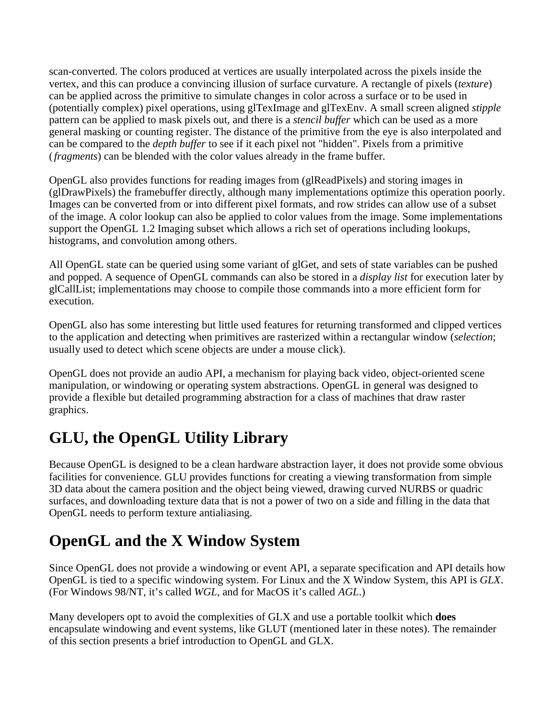scan-converted. The colors produced at vertices are usually interpolated across the pixels inside the vertex, and this can produce a convincing illusion of surface curvature. A rectangle of pixels (*texture*) can be applied across the primitive to simulate changes in color across a surface or to be used in (potentially complex) pixel operations, using glTexImage and glTexEnv. A small screen aligned *stipple* pattern can be applied to mask pixels out, and there is a *stencil buffer* which can be used as a more general masking or counting register. The distance of the primitive from the eye is also interpolated and can be compared to the *depth buffer* to see if it each pixel not "hidden". Pixels from a primitive (*fragments*) can be blended with the color values already in the frame buffer.

OpenGL also provides functions for reading images from (glReadPixels) and storing images in (glDrawPixels) the framebuffer directly, although many implementations optimize this operation poorly. Images can be converted from or into different pixel formats, and row strides can allow use of a subset of the image. A color lookup can also be applied to color values from the image. Some implementations support the OpenGL 1.2 Imaging subset which allows a rich set of operations including lookups, histograms, and convolution among others.

All OpenGL state can be queried using some variant of glGet, and sets of state variables can be pushed and popped. A sequence of OpenGL commands can also be stored in a *display list* for execution later by glCallList; implementations may choose to compile those commands into a more efficient form for execution.

OpenGL also has some interesting but little used features for returning transformed and clipped vertices to the application and detecting when primitives are rasterized within a rectangular window (*selection*; usually used to detect which scene objects are under a mouse click).

OpenGL does not provide an audio API, a mechanism for playing back video, object-oriented scene manipulation, or windowing or operating system abstractions. OpenGL in general was designed to provide a flexible but detailed programming abstraction for a class of machines that draw raster graphics.

### **GLU, the OpenGL Utility Library**

Because OpenGL is designed to be a clean hardware abstraction layer, it does not provide some obvious facilities for convenience. GLU provides functions for creating a viewing transformation from simple 3D data about the camera position and the object being viewed, drawing curved NURBS or quadric surfaces, and downloading texture data that is not a power of two on a side and filling in the data that OpenGL needs to perform texture antialiasing.

### **OpenGL and the X Window System**

Since OpenGL does not provide a windowing or event API, a separate specification and API details how OpenGL is tied to a specific windowing system. For Linux and the X Window System, this API is *GLX*. (For Windows 98/NT, it's called *WGL*, and for MacOS it's called *AGL*.)

Many developers opt to avoid the complexities of GLX and use a portable toolkit which **does** encapsulate windowing and event systems, like GLUT (mentioned later in these notes). The remainder of this section presents a brief introduction to OpenGL and GLX.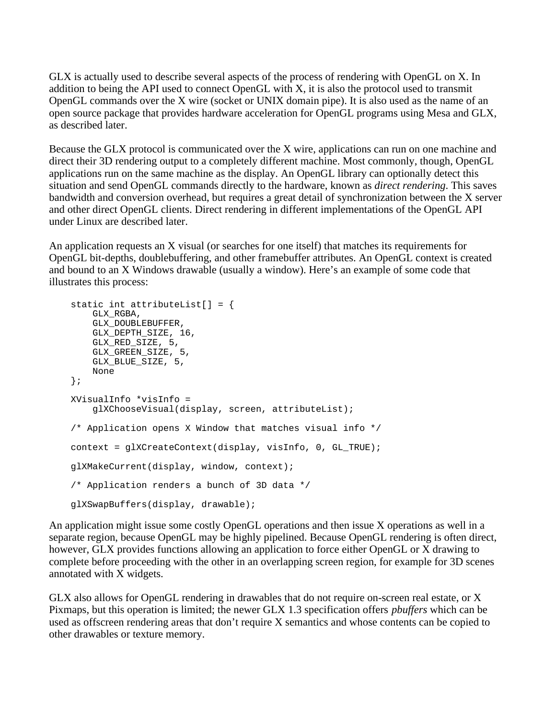GLX is actually used to describe several aspects of the process of rendering with OpenGL on X. In addition to being the API used to connect OpenGL with X, it is also the protocol used to transmit OpenGL commands over the X wire (socket or UNIX domain pipe). It is also used as the name of an open source package that provides hardware acceleration for OpenGL programs using Mesa and GLX, as described later.

Because the GLX protocol is communicated over the X wire, applications can run on one machine and direct their 3D rendering output to a completely different machine. Most commonly, though, OpenGL applications run on the same machine as the display. An OpenGL library can optionally detect this situation and send OpenGL commands directly to the hardware, known as *direct rendering*. This saves bandwidth and conversion overhead, but requires a great detail of synchronization between the X server and other direct OpenGL clients. Direct rendering in different implementations of the OpenGL API under Linux are described later.

An application requests an X visual (or searches for one itself) that matches its requirements for OpenGL bit-depths, doublebuffering, and other framebuffer attributes. An OpenGL context is created and bound to an X Windows drawable (usually a window). Here's an example of some code that illustrates this process:

```
static int attributeList[ ] = \{ GLX_RGBA,
    GLX_DOUBLEBUFFER,
   GLX DEPTH SIZE, 16,
   GLX RED SIZE, 5,
   GLX GREEN SIZE, 5,
     GLX_BLUE_SIZE, 5,
     None
 };
 XVisualInfo *visInfo =
     glXChooseVisual(display, screen, attributeList);
 /* Application opens X Window that matches visual info */
context = qIXCreateContext(display, visible, 0, GLTRUE); glXMakeCurrent(display, window, context);
 /* Application renders a bunch of 3D data */
 glXSwapBuffers(display, drawable);
```
An application might issue some costly OpenGL operations and then issue X operations as well in a separate region, because OpenGL may be highly pipelined. Because OpenGL rendering is often direct, however, GLX provides functions allowing an application to force either OpenGL or X drawing to complete before proceeding with the other in an overlapping screen region, for example for 3D scenes annotated with X widgets.

GLX also allows for OpenGL rendering in drawables that do not require on-screen real estate, or X Pixmaps, but this operation is limited; the newer GLX 1.3 specification offers *pbuffers* which can be used as offscreen rendering areas that don't require X semantics and whose contents can be copied to other drawables or texture memory.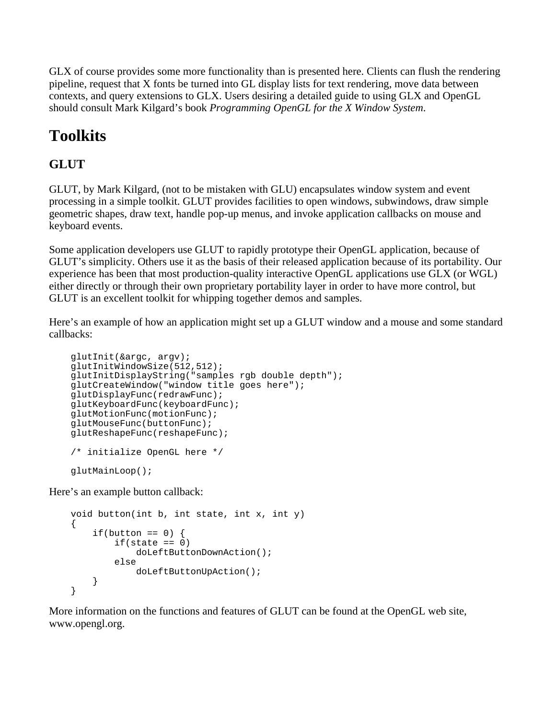GLX of course provides some more functionality than is presented here. Clients can flush the rendering pipeline, request that X fonts be turned into GL display lists for text rendering, move data between contexts, and query extensions to GLX. Users desiring a detailed guide to using GLX and OpenGL should consult Mark Kilgard's book *Programming OpenGL for the X Window System*.

# **Toolkits**

#### **GLUT**

GLUT, by Mark Kilgard, (not to be mistaken with GLU) encapsulates window system and event processing in a simple toolkit. GLUT provides facilities to open windows, subwindows, draw simple geometric shapes, draw text, handle pop-up menus, and invoke application callbacks on mouse and keyboard events.

Some application developers use GLUT to rapidly prototype their OpenGL application, because of GLUT's simplicity. Others use it as the basis of their released application because of its portability. Our experience has been that most production-quality interactive OpenGL applications use GLX (or WGL) either directly or through their own proprietary portability layer in order to have more control, but GLUT is an excellent toolkit for whipping together demos and samples.

Here's an example of how an application might set up a GLUT window and a mouse and some standard callbacks:

```
 glutInit(&argc, argv);
 glutInitWindowSize(512,512);
 glutInitDisplayString("samples rgb double depth");
 glutCreateWindow("window title goes here");
 glutDisplayFunc(redrawFunc);
 glutKeyboardFunc(keyboardFunc);
 glutMotionFunc(motionFunc);
 glutMouseFunc(buttonFunc);
 glutReshapeFunc(reshapeFunc);
 /* initialize OpenGL here */
 glutMainLoop();
```
Here's an example button callback:

```
 void button(int b, int state, int x, int y)
 {
    if(button == 0) {
        if(state == 0) doLeftButtonDownAction();
         else
             doLeftButtonUpAction();
     }
 }
```
More information on the functions and features of GLUT can be found at the OpenGL web site, www.opengl.org.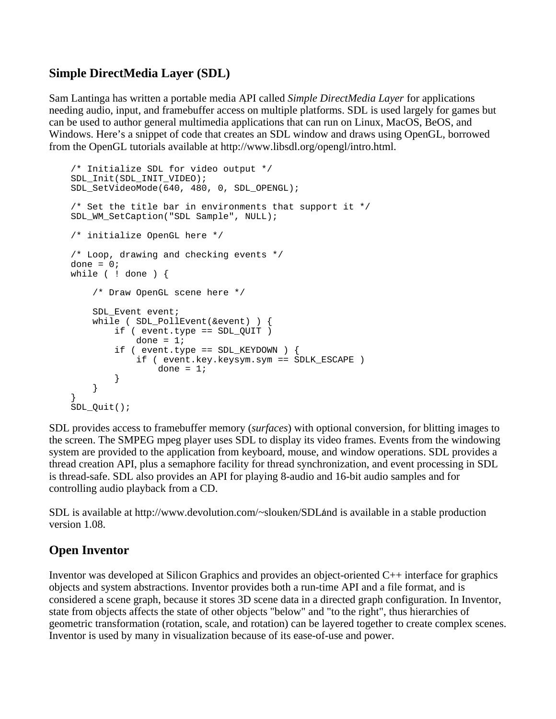#### **Simple DirectMedia Layer (SDL)**

Sam Lantinga has written a portable media API called *Simple DirectMedia Layer* for applications needing audio, input, and framebuffer access on multiple platforms. SDL is used largely for games but can be used to author general multimedia applications that can run on Linux, MacOS, BeOS, and Windows. Here's a snippet of code that creates an SDL window and draws using OpenGL, borrowed from the OpenGL tutorials available at http://www.libsdl.org/opengl/intro.html.

```
 /* Initialize SDL for video output */
    SDL_Init(SDL_INIT_VIDEO);
   SDL SetVideoMode(640, 480, 0, SDL OPENGL);
   /* Set the title bar in environments that support it */ SDL_WM_SetCaption("SDL Sample", NULL);
    /* initialize OpenGL here */
    /* Loop, drawing and checking events */
   done = 0; while ( ! done ) {
        /* Draw OpenGL scene here */
        SDL_Event event;
        while ( SDL_PollEvent(&event) ) {
            if ( event.type == SDL_QUIT )
               done = 1;
            if ( event.type == SDL_KEYDOWN ) {
                if ( event.key.keysym.sym == SDLK_ESCAPE )
           \text{done} = 1; }
 }
 }
    SDL_Quit();
```
SDL provides access to framebuffer memory (*surfaces*) with optional conversion, for blitting images to the screen. The SMPEG mpeg player uses SDL to display its video frames. Events from the windowing system are provided to the application from keyboard, mouse, and window operations. SDL provides a thread creation API, plus a semaphore facility for thread synchronization, and event processing in SDL is thread-safe. SDL also provides an API for playing 8-audio and 16-bit audio samples and for controlling audio playback from a CD.

SDL is available at http://www.devolution.com/~slouken/SDL and is available in a stable production version 1.08.

#### **Open Inventor**

Inventor was developed at Silicon Graphics and provides an object-oriented C++ interface for graphics objects and system abstractions. Inventor provides both a run-time API and a file format, and is considered a scene graph, because it stores 3D scene data in a directed graph configuration. In Inventor, state from objects affects the state of other objects "below" and "to the right", thus hierarchies of geometric transformation (rotation, scale, and rotation) can be layered together to create complex scenes. Inventor is used by many in visualization because of its ease-of-use and power.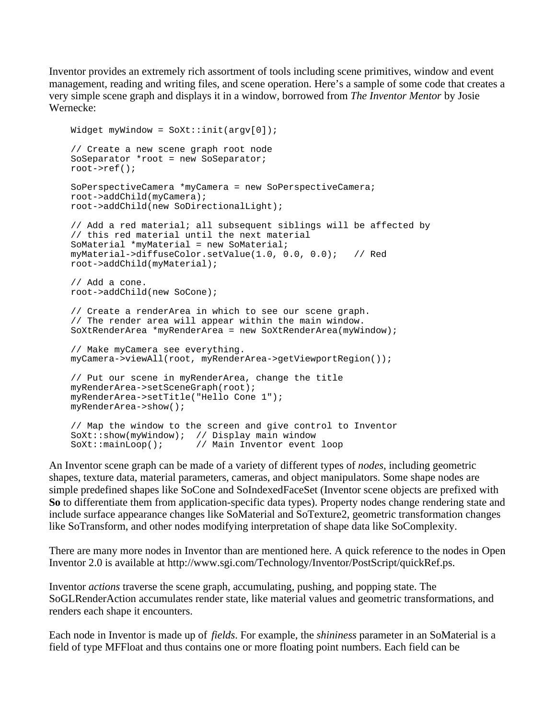Inventor provides an extremely rich assortment of tools including scene primitives, window and event management, reading and writing files, and scene operation. Here's a sample of some code that creates a very simple scene graph and displays it in a window, borrowed from *The Inventor Mentor* by Josie Wernecke:

```
Widget myWindow = Soxt::init(arqv[0]): // Create a new scene graph root node
 SoSeparator *root = new SoSeparator;
 root->ref();
 SoPerspectiveCamera *myCamera = new SoPerspectiveCamera;
 root->addChild(myCamera);
 root->addChild(new SoDirectionalLight);
 // Add a red material; all subsequent siblings will be affected by
 // this red material until the next material
 SoMaterial *myMaterial = new SoMaterial;
 myMaterial->diffuseColor.setValue(1.0, 0.0, 0.0); // Red
 root->addChild(myMaterial);
 // Add a cone.
 root->addChild(new SoCone);
 // Create a renderArea in which to see our scene graph.
 // The render area will appear within the main window.
 SoXtRenderArea *myRenderArea = new SoXtRenderArea(myWindow);
 // Make myCamera see everything.
 myCamera->viewAll(root, myRenderArea->getViewportRegion());
 // Put our scene in myRenderArea, change the title
 myRenderArea->setSceneGraph(root);
 myRenderArea->setTitle("Hello Cone 1");
 myRenderArea->show();
 // Map the window to the screen and give control to Inventor
SoXt::show(myWindow); // Display main window<br>SoXt::mainLoop(); // Main Inventor event
                       // Main Inventor event loop
```
An Inventor scene graph can be made of a variety of different types of *nodes*, including geometric shapes, texture data, material parameters, cameras, and object manipulators. Some shape nodes are simple predefined shapes like SoCone and SoIndexedFaceSet (Inventor scene objects are prefixed with **So** to differentiate them from application-specific data types). Property nodes change rendering state and include surface appearance changes like SoMaterial and SoTexture2, geometric transformation changes like SoTransform, and other nodes modifying interpretation of shape data like SoComplexity.

There are many more nodes in Inventor than are mentioned here. A quick reference to the nodes in Open Inventor 2.0 is available at http://www.sgi.com/Technology/Inventor/PostScript/quickRef.ps.

Inventor *actions* traverse the scene graph, accumulating, pushing, and popping state. The SoGLRenderAction accumulates render state, like material values and geometric transformations, and renders each shape it encounters.

Each node in Inventor is made up of *fields*. For example, the *shininess* parameter in an SoMaterial is a field of type MFFloat and thus contains one or more floating point numbers. Each field can be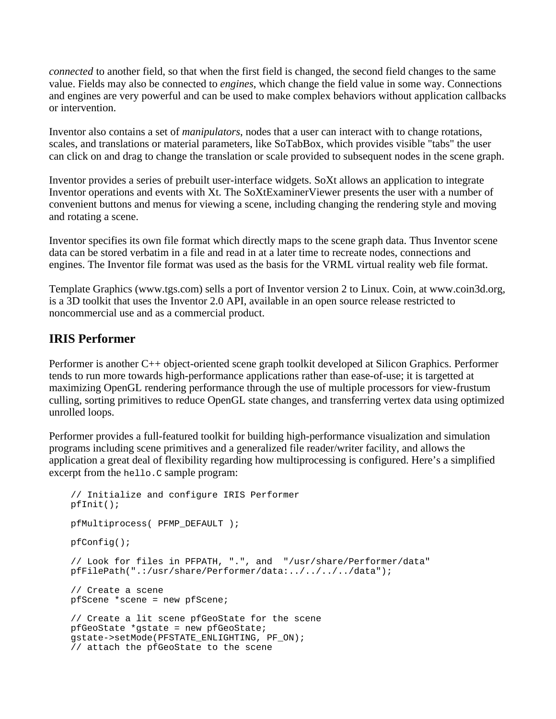*connected* to another field, so that when the first field is changed, the second field changes to the same value. Fields may also be connected to *engines*, which change the field value in some way. Connections and engines are very powerful and can be used to make complex behaviors without application callbacks or intervention.

Inventor also contains a set of *manipulators*, nodes that a user can interact with to change rotations, scales, and translations or material parameters, like SoTabBox, which provides visible "tabs" the user can click on and drag to change the translation or scale provided to subsequent nodes in the scene graph.

Inventor provides a series of prebuilt user-interface widgets. SoXt allows an application to integrate Inventor operations and events with Xt. The SoXtExaminerViewer presents the user with a number of convenient buttons and menus for viewing a scene, including changing the rendering style and moving and rotating a scene.

Inventor specifies its own file format which directly maps to the scene graph data. Thus Inventor scene data can be stored verbatim in a file and read in at a later time to recreate nodes, connections and engines. The Inventor file format was used as the basis for the VRML virtual reality web file format.

Template Graphics (www.tgs.com) sells a port of Inventor version 2 to Linux. Coin, at www.coin3d.org, is a 3D toolkit that uses the Inventor 2.0 API, available in an open source release restricted to noncommercial use and as a commercial product.

#### **IRIS Performer**

Performer is another C++ object-oriented scene graph toolkit developed at Silicon Graphics. Performer tends to run more towards high-performance applications rather than ease-of-use; it is targetted at maximizing OpenGL rendering performance through the use of multiple processors for view-frustum culling, sorting primitives to reduce OpenGL state changes, and transferring vertex data using optimized unrolled loops.

Performer provides a full-featured toolkit for building high-performance visualization and simulation programs including scene primitives and a generalized file reader/writer facility, and allows the application a great deal of flexibility regarding how multiprocessing is configured. Here's a simplified excerpt from the hello.c sample program:

```
 // Initialize and configure IRIS Performer
 pfInit();
 pfMultiprocess( PFMP_DEFAULT ); 
 pfConfig();
 // Look for files in PFPATH, ".", and "/usr/share/Performer/data"
 pfFilePath(".:/usr/share/Performer/data:../../../../data");
 // Create a scene
 pfScene *scene = new pfScene;
 // Create a lit scene pfGeoState for the scene
 pfGeoState *gstate = new pfGeoState;
 gstate->setMode(PFSTATE_ENLIGHTING, PF_ON);
 // attach the pfGeoState to the scene
```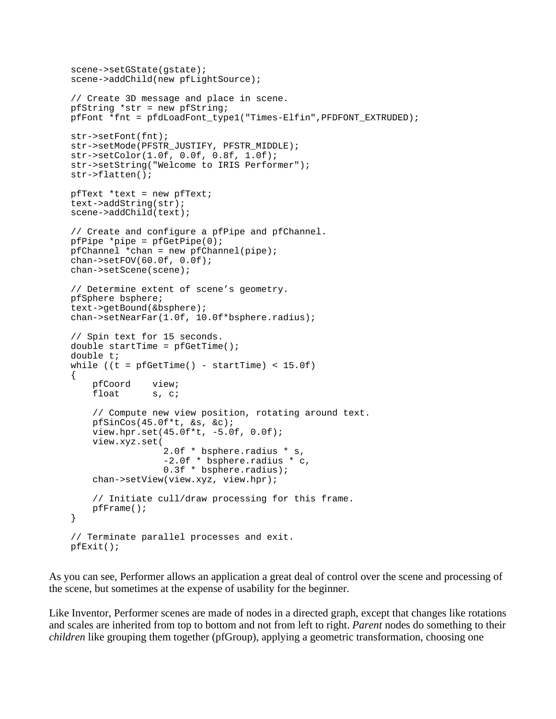```
 scene->setGState(gstate);
scene->addChild(new pfLightSource);
 // Create 3D message and place in scene.
 pfString *str = new pfString;
 pfFont *fnt = pfdLoadFont_type1("Times-Elfin",PFDFONT_EXTRUDED);
 str->setFont(fnt);
 str->setMode(PFSTR_JUSTIFY, PFSTR_MIDDLE);
 str->setColor(1.0f, 0.0f, 0.8f, 1.0f);
 str->setString("Welcome to IRIS Performer");
 str->flatten();
 pfText *text = new pfText;
 text->addString(str);
 scene->addChild(text);
 // Create and configure a pfPipe and pfChannel.
pfPipe *pipe = pfGetPipe(0);pfChannel *chan = new pfChannel(pipe);
char->setFOV(60.0f, 0.0f); chan->setScene(scene);
 // Determine extent of scene's geometry.
 pfSphere bsphere;
 text->getBound(&bsphere);
 chan->setNearFar(1.0f, 10.0f*bsphere.radius);
 // Spin text for 15 seconds.
double startTime = pfGetTime();
 double t;
while ((t = pfGetTime)) - startTime) < 15.0f)\left\{ \right. pfCoord view;
    float s, c;
     // Compute new view position, rotating around text.
     pfSinCos(45.0f*t, &s, &c);
     view.hpr.set(45.0f*t, -5.0f, 0.0f);
     view.xyz.set(
                   2.0f * bsphere.radius * s,
                   -2.0f * bsphere.radius * c,
                   0.3f * bsphere.radius);
     chan->setView(view.xyz, view.hpr);
     // Initiate cull/draw processing for this frame.
     pfFrame();
 }
 // Terminate parallel processes and exit.
 pfExit();
```
As you can see, Performer allows an application a great deal of control over the scene and processing of the scene, but sometimes at the expense of usability for the beginner.

Like Inventor, Performer scenes are made of nodes in a directed graph, except that changes like rotations and scales are inherited from top to bottom and not from left to right. *Parent* nodes do something to their *children* like grouping them together (pfGroup), applying a geometric transformation, choosing one